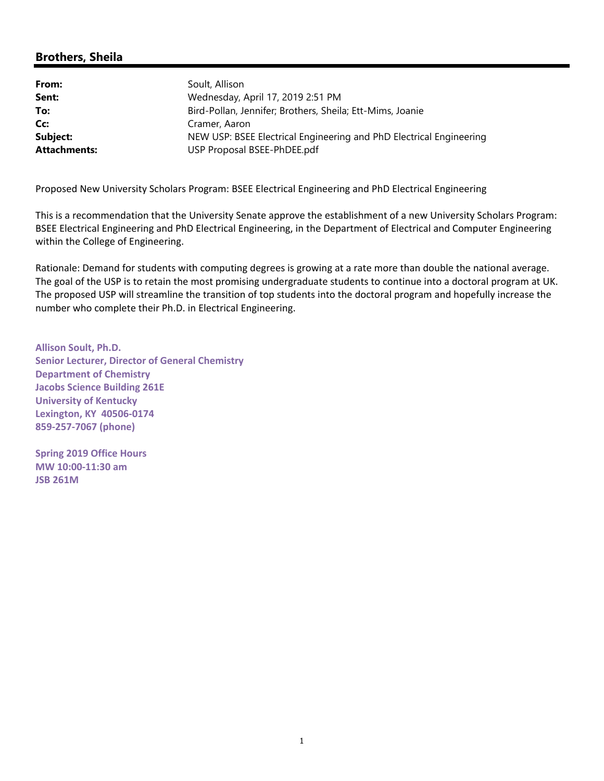# **Brothers, Sheila**

| Soult, Allison                                                      |
|---------------------------------------------------------------------|
| Wednesday, April 17, 2019 2:51 PM                                   |
| Bird-Pollan, Jennifer; Brothers, Sheila; Ett-Mims, Joanie           |
| Cramer, Aaron                                                       |
| NEW USP: BSEE Electrical Engineering and PhD Electrical Engineering |
| USP Proposal BSEE-PhDEE.pdf                                         |
|                                                                     |

Proposed New University Scholars Program: BSEE Electrical Engineering and PhD Electrical Engineering

This is a recommendation that the University Senate approve the establishment of a new University Scholars Program: BSEE Electrical Engineering and PhD Electrical Engineering, in the Department of Electrical and Computer Engineering within the College of Engineering.

Rationale: Demand for students with computing degrees is growing at a rate more than double the national average. The goal of the USP is to retain the most promising undergraduate students to continue into a doctoral program at UK. The proposed USP will streamline the transition of top students into the doctoral program and hopefully increase the number who complete their Ph.D. in Electrical Engineering.

**Allison Soult, Ph.D. Senior Lecturer, Director of General Chemistry Department of Chemistry Jacobs Science Building 261E University of Kentucky Lexington, KY 40506‐0174 859‐257‐7067 (phone)**

**Spring 2019 Office Hours MW 10:00‐11:30 am JSB 261M**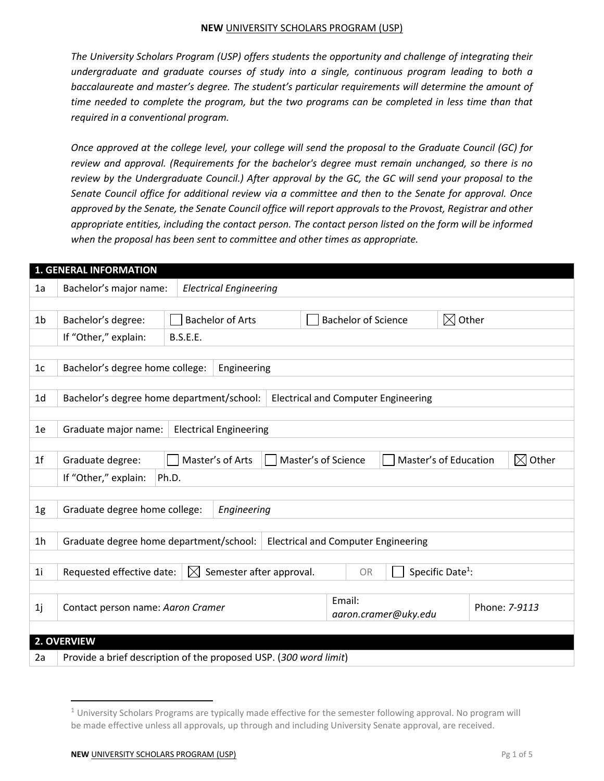*The University Scholars Program (USP) offers students the opportunity and challenge of integrating their undergraduate and graduate courses of study into a single, continuous program leading to both a baccalaureate and master's degree. The student's particular requirements will determine the amount of time needed to complete the program, but the two programs can be completed in less time than that required in a conventional program.*

*Once approved at the college level, your college will send the proposal to the Graduate Council (GC) for review and approval. (Requirements for the bachelor's degree must remain unchanged, so there is no review by the Undergraduate Council.) After approval by the GC, the GC will send your proposal to the Senate Council office for additional review via a committee and then to the Senate for approval. Once approved by the Senate, the Senate Council office will report approvals to the Provost, Registrar and other appropriate entities, including the contact person. The contact person listed on the form will be informed when the proposal has been sent to committee and other times as appropriate.*

| <b>1. GENERAL INFORMATION</b> |                                                                                                                   |                               |                                                                            |                                            |               |                       |  |                      |
|-------------------------------|-------------------------------------------------------------------------------------------------------------------|-------------------------------|----------------------------------------------------------------------------|--------------------------------------------|---------------|-----------------------|--|----------------------|
| 1a                            | <b>Electrical Engineering</b><br>Bachelor's major name:                                                           |                               |                                                                            |                                            |               |                       |  |                      |
|                               |                                                                                                                   |                               |                                                                            |                                            |               |                       |  |                      |
| 1b                            | Bachelor's degree:                                                                                                |                               | $\boxtimes$ Other<br><b>Bachelor of Arts</b><br><b>Bachelor of Science</b> |                                            |               |                       |  |                      |
|                               | If "Other," explain:                                                                                              | <b>B.S.E.E.</b>               |                                                                            |                                            |               |                       |  |                      |
|                               |                                                                                                                   |                               |                                                                            |                                            |               |                       |  |                      |
| 1 <sub>c</sub>                | Bachelor's degree home college:                                                                                   |                               | Engineering                                                                |                                            |               |                       |  |                      |
|                               |                                                                                                                   |                               |                                                                            |                                            |               |                       |  |                      |
| 1 <sub>d</sub>                | Bachelor's degree home department/school:                                                                         |                               |                                                                            | <b>Electrical and Computer Engineering</b> |               |                       |  |                      |
|                               |                                                                                                                   |                               |                                                                            |                                            |               |                       |  |                      |
| 1e                            | Graduate major name:                                                                                              | <b>Electrical Engineering</b> |                                                                            |                                            |               |                       |  |                      |
|                               |                                                                                                                   |                               |                                                                            |                                            |               |                       |  |                      |
| 1 <sup>f</sup>                | Graduate degree:                                                                                                  | Master's of Arts              |                                                                            | Master's of Science                        |               | Master's of Education |  | Other<br>$\boxtimes$ |
|                               | If "Other," explain:<br>Ph.D.                                                                                     |                               |                                                                            |                                            |               |                       |  |                      |
|                               |                                                                                                                   |                               |                                                                            |                                            |               |                       |  |                      |
| 1g                            | Graduate degree home college:<br>Engineering                                                                      |                               |                                                                            |                                            |               |                       |  |                      |
|                               |                                                                                                                   |                               |                                                                            |                                            |               |                       |  |                      |
| 1h                            | Graduate degree home department/school:<br><b>Electrical and Computer Engineering</b>                             |                               |                                                                            |                                            |               |                       |  |                      |
|                               |                                                                                                                   |                               |                                                                            |                                            |               |                       |  |                      |
| 1i                            | Semester after approval.<br>Specific Date <sup>1</sup> :<br>Requested effective date:<br>$\boxtimes$<br><b>OR</b> |                               |                                                                            |                                            |               |                       |  |                      |
|                               |                                                                                                                   |                               |                                                                            |                                            |               |                       |  |                      |
| 1j                            | Email:<br>Contact person name: Aaron Cramer                                                                       |                               |                                                                            |                                            | Phone: 7-9113 |                       |  |                      |
|                               | aaron.cramer@uky.edu                                                                                              |                               |                                                                            |                                            |               |                       |  |                      |
|                               | 2. OVERVIEW                                                                                                       |                               |                                                                            |                                            |               |                       |  |                      |
| 2a                            |                                                                                                                   |                               |                                                                            |                                            |               |                       |  |                      |
|                               | Provide a brief description of the proposed USP. (300 word limit)                                                 |                               |                                                                            |                                            |               |                       |  |                      |

 $\overline{\phantom{a}}$ 

 $1$  University Scholars Programs are typically made effective for the semester following approval. No program will be made effective unless all approvals, up through and including University Senate approval, are received.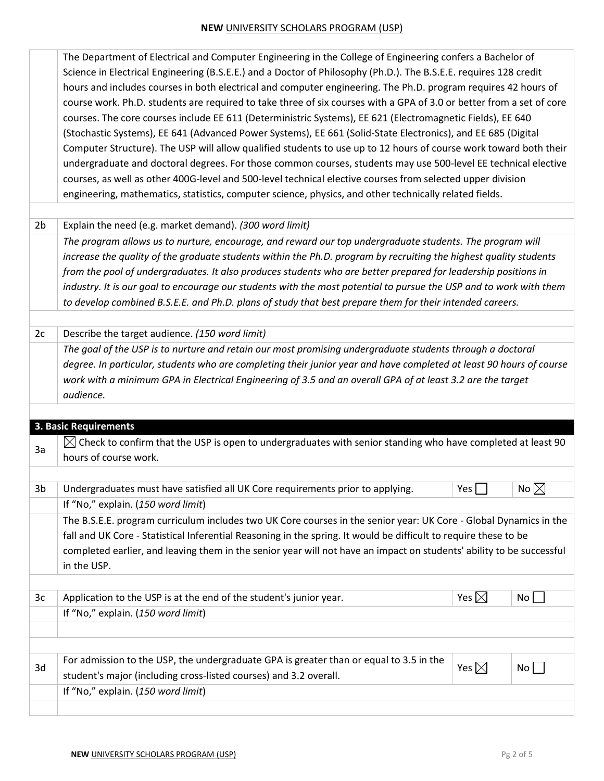| Science in Electrical Engineering (B.S.E.E.) and a Doctor of Philosophy (Ph.D.). The B.S.E.E. requires 128 credit<br>hours and includes courses in both electrical and computer engineering. The Ph.D. program requires 42 hours of |  |
|-------------------------------------------------------------------------------------------------------------------------------------------------------------------------------------------------------------------------------------|--|
|                                                                                                                                                                                                                                     |  |
|                                                                                                                                                                                                                                     |  |
| course work. Ph.D. students are required to take three of six courses with a GPA of 3.0 or better from a set of core                                                                                                                |  |
| courses. The core courses include EE 611 (Deterministric Systems), EE 621 (Electromagnetic Fields), EE 640                                                                                                                          |  |
| (Stochastic Systems), EE 641 (Advanced Power Systems), EE 661 (Solid-State Electronics), and EE 685 (Digital                                                                                                                        |  |
| Computer Structure). The USP will allow qualified students to use up to 12 hours of course work toward both their                                                                                                                   |  |
| undergraduate and doctoral degrees. For those common courses, students may use 500-level EE technical elective                                                                                                                      |  |
| courses, as well as other 400G-level and 500-level technical elective courses from selected upper division                                                                                                                          |  |
| engineering, mathematics, statistics, computer science, physics, and other technically related fields.                                                                                                                              |  |

2b Explain the need (e.g. market demand). *(300 word limit)*

*The program allows us to nurture, encourage, and reward our top undergraduate students. The program will increase the quality of the graduate students within the Ph.D. program by recruiting the highest quality students from the pool of undergraduates. It also produces students who are better prepared for leadership positions in*  industry. It is our goal to encourage our students with the most potential to pursue the USP and to work with them *to develop combined B.S.E.E. and Ph.D. plans of study that best prepare them for their intended careers.*

2c Describe the target audience. *(150 word limit)*

*The goal of the USP is to nurture and retain our most promising undergraduate students through a doctoral degree. In particular, students who are completing their junior year and have completed at least 90 hours of course work with a minimum GPA in Electrical Engineering of 3.5 and an overall GPA of at least 3.2 are the target audience.*

|    | 3. Basic Requirements                                                                                                 |                 |                 |  |  |  |
|----|-----------------------------------------------------------------------------------------------------------------------|-----------------|-----------------|--|--|--|
| 3a | $\bowtie$ Check to confirm that the USP is open to undergraduates with senior standing who have completed at least 90 |                 |                 |  |  |  |
|    | hours of course work.                                                                                                 |                 |                 |  |  |  |
|    |                                                                                                                       |                 |                 |  |  |  |
| 3b | Undergraduates must have satisfied all UK Core requirements prior to applying.                                        | Yes             | No $\boxtimes$  |  |  |  |
|    | If "No," explain. (150 word limit)                                                                                    |                 |                 |  |  |  |
|    | The B.S.E.E. program curriculum includes two UK Core courses in the senior year: UK Core - Global Dynamics in the     |                 |                 |  |  |  |
|    | fall and UK Core - Statistical Inferential Reasoning in the spring. It would be difficult to require these to be      |                 |                 |  |  |  |
|    | completed earlier, and leaving them in the senior year will not have an impact on students' ability to be successful  |                 |                 |  |  |  |
|    | in the USP.                                                                                                           |                 |                 |  |  |  |
|    |                                                                                                                       |                 |                 |  |  |  |
| 3c | Application to the USP is at the end of the student's junior year.                                                    | Yes $\boxtimes$ | No <sub>1</sub> |  |  |  |
|    | If "No," explain. (150 word limit)                                                                                    |                 |                 |  |  |  |
|    |                                                                                                                       |                 |                 |  |  |  |
|    |                                                                                                                       |                 |                 |  |  |  |
| 3d | For admission to the USP, the undergraduate GPA is greater than or equal to 3.5 in the                                | Yes $\boxtimes$ | No l            |  |  |  |
|    | student's major (including cross-listed courses) and 3.2 overall.                                                     |                 |                 |  |  |  |
|    | If "No," explain. (150 word limit)                                                                                    |                 |                 |  |  |  |
|    |                                                                                                                       |                 |                 |  |  |  |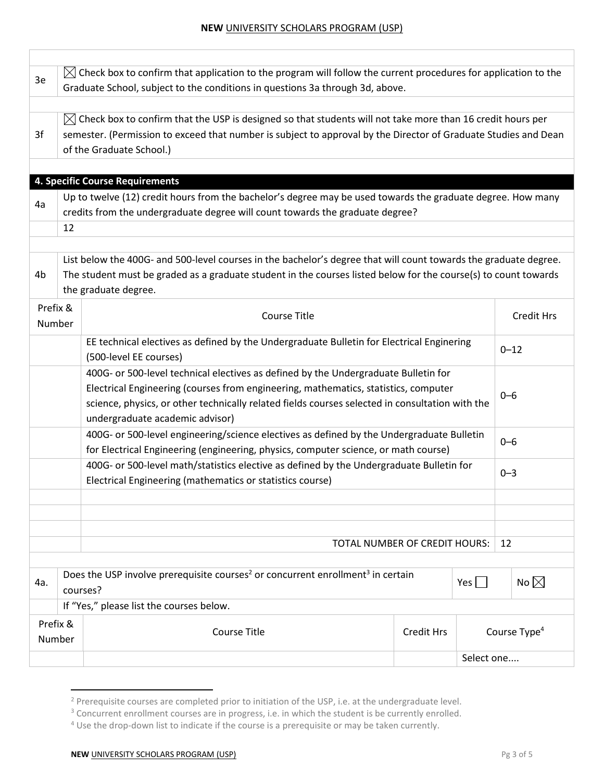| 3e                                                                                                                                                              | $\bowtie$ Check box to confirm that application to the program will follow the current procedures for application to the<br>Graduate School, subject to the conditions in questions 3a through 3d, above.                                                                                                        |                                                                                                                                                                                                                                                             |            |            |                          |  |  |  |
|-----------------------------------------------------------------------------------------------------------------------------------------------------------------|------------------------------------------------------------------------------------------------------------------------------------------------------------------------------------------------------------------------------------------------------------------------------------------------------------------|-------------------------------------------------------------------------------------------------------------------------------------------------------------------------------------------------------------------------------------------------------------|------------|------------|--------------------------|--|--|--|
| 3f                                                                                                                                                              | $\bowtie$ Check box to confirm that the USP is designed so that students will not take more than 16 credit hours per<br>semester. (Permission to exceed that number is subject to approval by the Director of Graduate Studies and Dean<br>of the Graduate School.)                                              |                                                                                                                                                                                                                                                             |            |            |                          |  |  |  |
| 4a                                                                                                                                                              | 4. Specific Course Requirements<br>Up to twelve (12) credit hours from the bachelor's degree may be used towards the graduate degree. How many<br>credits from the undergraduate degree will count towards the graduate degree?<br>12                                                                            |                                                                                                                                                                                                                                                             |            |            |                          |  |  |  |
| 4b                                                                                                                                                              |                                                                                                                                                                                                                                                                                                                  | List below the 400G- and 500-level courses in the bachelor's degree that will count towards the graduate degree.<br>The student must be graded as a graduate student in the courses listed below for the course(s) to count towards<br>the graduate degree. |            |            |                          |  |  |  |
| Prefix &<br>Number                                                                                                                                              |                                                                                                                                                                                                                                                                                                                  | <b>Course Title</b>                                                                                                                                                                                                                                         |            |            | <b>Credit Hrs</b>        |  |  |  |
|                                                                                                                                                                 | EE technical electives as defined by the Undergraduate Bulletin for Electrical Enginering<br>(500-level EE courses)                                                                                                                                                                                              |                                                                                                                                                                                                                                                             |            |            |                          |  |  |  |
|                                                                                                                                                                 | 400G- or 500-level technical electives as defined by the Undergraduate Bulletin for<br>Electrical Engineering (courses from engineering, mathematics, statistics, computer<br>science, physics, or other technically related fields courses selected in consultation with the<br>undergraduate academic advisor) |                                                                                                                                                                                                                                                             |            |            |                          |  |  |  |
|                                                                                                                                                                 | 400G- or 500-level engineering/science electives as defined by the Undergraduate Bulletin<br>for Electrical Engineering (engineering, physics, computer science, or math course)                                                                                                                                 |                                                                                                                                                                                                                                                             |            |            |                          |  |  |  |
|                                                                                                                                                                 | 400G- or 500-level math/statistics elective as defined by the Undergraduate Bulletin for<br>Electrical Engineering (mathematics or statistics course)                                                                                                                                                            |                                                                                                                                                                                                                                                             |            |            |                          |  |  |  |
|                                                                                                                                                                 | TOTAL NUMBER OF CREDIT HOURS:                                                                                                                                                                                                                                                                                    |                                                                                                                                                                                                                                                             |            |            |                          |  |  |  |
| Does the USP involve prerequisite courses <sup>2</sup> or concurrent enrollment <sup>3</sup> in certain<br>No $\boxtimes$<br>$Yes \mid \mid$<br>4a.<br>courses? |                                                                                                                                                                                                                                                                                                                  |                                                                                                                                                                                                                                                             |            |            |                          |  |  |  |
| If "Yes," please list the courses below.                                                                                                                        |                                                                                                                                                                                                                                                                                                                  |                                                                                                                                                                                                                                                             |            |            |                          |  |  |  |
| Prefix &<br>Number                                                                                                                                              |                                                                                                                                                                                                                                                                                                                  | <b>Course Title</b>                                                                                                                                                                                                                                         | Credit Hrs |            | Course Type <sup>4</sup> |  |  |  |
|                                                                                                                                                                 |                                                                                                                                                                                                                                                                                                                  |                                                                                                                                                                                                                                                             |            | Select one |                          |  |  |  |

 $2$  Prerequisite courses are completed prior to initiation of the USP, i.e. at the undergraduate level.

 $\overline{\phantom{a}}$ 

<sup>&</sup>lt;sup>3</sup> Concurrent enrollment courses are in progress, i.e. in which the student is be currently enrolled.

<sup>&</sup>lt;sup>4</sup> Use the drop-down list to indicate if the course is a prerequisite or may be taken currently.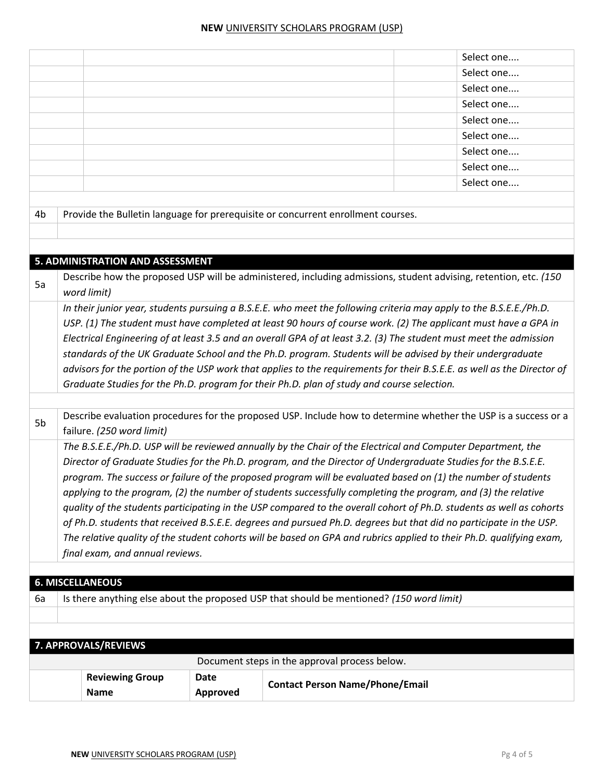|    |                                                                                                                                              |                 | Select one                                                                                                              |  |  |  |
|----|----------------------------------------------------------------------------------------------------------------------------------------------|-----------------|-------------------------------------------------------------------------------------------------------------------------|--|--|--|
|    |                                                                                                                                              |                 | Select one                                                                                                              |  |  |  |
|    |                                                                                                                                              |                 | Select one                                                                                                              |  |  |  |
|    |                                                                                                                                              |                 | Select one                                                                                                              |  |  |  |
|    |                                                                                                                                              | Select one      |                                                                                                                         |  |  |  |
|    |                                                                                                                                              | Select one      |                                                                                                                         |  |  |  |
|    | Select one                                                                                                                                   |                 |                                                                                                                         |  |  |  |
|    |                                                                                                                                              | Select one      |                                                                                                                         |  |  |  |
|    |                                                                                                                                              |                 | Select one                                                                                                              |  |  |  |
| 4b |                                                                                                                                              |                 | Provide the Bulletin language for prerequisite or concurrent enrollment courses.                                        |  |  |  |
|    |                                                                                                                                              |                 |                                                                                                                         |  |  |  |
|    |                                                                                                                                              |                 |                                                                                                                         |  |  |  |
|    |                                                                                                                                              |                 |                                                                                                                         |  |  |  |
|    | 5. ADMINISTRATION AND ASSESSMENT                                                                                                             |                 |                                                                                                                         |  |  |  |
| 5a | word limit)                                                                                                                                  |                 | Describe how the proposed USP will be administered, including admissions, student advising, retention, etc. (150        |  |  |  |
|    |                                                                                                                                              |                 | In their junior year, students pursuing a B.S.E.E. who meet the following criteria may apply to the B.S.E.E./Ph.D.      |  |  |  |
|    |                                                                                                                                              |                 | USP. (1) The student must have completed at least 90 hours of course work. (2) The applicant must have a GPA in         |  |  |  |
|    |                                                                                                                                              |                 | Electrical Engineering of at least 3.5 and an overall GPA of at least 3.2. (3) The student must meet the admission      |  |  |  |
|    |                                                                                                                                              |                 | standards of the UK Graduate School and the Ph.D. program. Students will be advised by their undergraduate              |  |  |  |
|    |                                                                                                                                              |                 | advisors for the portion of the USP work that applies to the requirements for their B.S.E.E. as well as the Director of |  |  |  |
|    | Graduate Studies for the Ph.D. program for their Ph.D. plan of study and course selection.                                                   |                 |                                                                                                                         |  |  |  |
|    |                                                                                                                                              |                 |                                                                                                                         |  |  |  |
| 5b | Describe evaluation procedures for the proposed USP. Include how to determine whether the USP is a success or a<br>failure. (250 word limit) |                 |                                                                                                                         |  |  |  |
|    | The B.S.E.E./Ph.D. USP will be reviewed annually by the Chair of the Electrical and Computer Department, the                                 |                 |                                                                                                                         |  |  |  |
|    | Director of Graduate Studies for the Ph.D. program, and the Director of Undergraduate Studies for the B.S.E.E.                               |                 |                                                                                                                         |  |  |  |
|    |                                                                                                                                              |                 | program. The success or failure of the proposed program will be evaluated based on (1) the number of students           |  |  |  |
|    |                                                                                                                                              |                 | applying to the program, (2) the number of students successfully completing the program, and (3) the relative           |  |  |  |
|    |                                                                                                                                              |                 | quality of the students participating in the USP compared to the overall cohort of Ph.D. students as well as cohorts    |  |  |  |
|    |                                                                                                                                              |                 | of Ph.D. students that received B.S.E.E. degrees and pursued Ph.D. degrees but that did no participate in the USP.      |  |  |  |
|    | The relative quality of the student cohorts will be based on GPA and rubrics applied to their Ph.D. qualifying exam,                         |                 |                                                                                                                         |  |  |  |
|    | final exam, and annual reviews.                                                                                                              |                 |                                                                                                                         |  |  |  |
|    |                                                                                                                                              |                 |                                                                                                                         |  |  |  |
|    | <b>6. MISCELLANEOUS</b>                                                                                                                      |                 |                                                                                                                         |  |  |  |
| 6а |                                                                                                                                              |                 | Is there anything else about the proposed USP that should be mentioned? (150 word limit)                                |  |  |  |
|    |                                                                                                                                              |                 |                                                                                                                         |  |  |  |
|    |                                                                                                                                              |                 |                                                                                                                         |  |  |  |
|    | 7. APPROVALS/REVIEWS                                                                                                                         |                 |                                                                                                                         |  |  |  |
|    |                                                                                                                                              |                 | Document steps in the approval process below.                                                                           |  |  |  |
|    | <b>Reviewing Group</b>                                                                                                                       | Date            |                                                                                                                         |  |  |  |
|    | <b>Name</b>                                                                                                                                  | <b>Approved</b> | <b>Contact Person Name/Phone/Email</b>                                                                                  |  |  |  |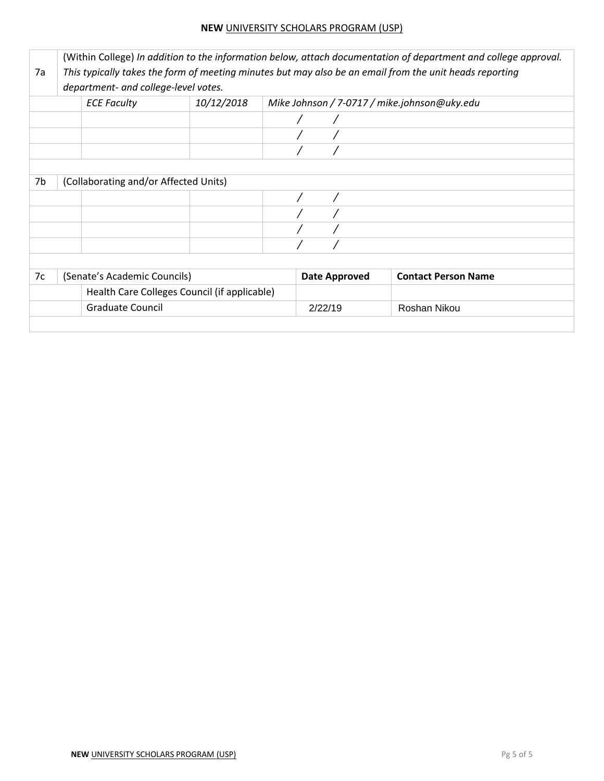|    | (Within College) In addition to the information below, attach documentation of department and college approval. |                                              |  |                      |                                              |  |  |  |
|----|-----------------------------------------------------------------------------------------------------------------|----------------------------------------------|--|----------------------|----------------------------------------------|--|--|--|
| 7a | This typically takes the form of meeting minutes but may also be an email from the unit heads reporting         |                                              |  |                      |                                              |  |  |  |
|    | department- and college-level votes.                                                                            |                                              |  |                      |                                              |  |  |  |
|    | <b>ECE Faculty</b>                                                                                              | 10/12/2018                                   |  |                      | Mike Johnson / 7-0717 / mike.johnson@uky.edu |  |  |  |
|    |                                                                                                                 |                                              |  |                      |                                              |  |  |  |
|    |                                                                                                                 |                                              |  |                      |                                              |  |  |  |
|    |                                                                                                                 |                                              |  |                      |                                              |  |  |  |
|    |                                                                                                                 |                                              |  |                      |                                              |  |  |  |
| 7b | (Collaborating and/or Affected Units)                                                                           |                                              |  |                      |                                              |  |  |  |
|    |                                                                                                                 |                                              |  |                      |                                              |  |  |  |
|    |                                                                                                                 |                                              |  |                      |                                              |  |  |  |
|    |                                                                                                                 |                                              |  |                      |                                              |  |  |  |
|    |                                                                                                                 |                                              |  |                      |                                              |  |  |  |
|    |                                                                                                                 |                                              |  |                      |                                              |  |  |  |
| 7c | (Senate's Academic Councils)                                                                                    |                                              |  | <b>Date Approved</b> | <b>Contact Person Name</b>                   |  |  |  |
|    |                                                                                                                 | Health Care Colleges Council (if applicable) |  |                      |                                              |  |  |  |
|    | <b>Graduate Council</b>                                                                                         |                                              |  | 2/22/19              | Roshan Nikou                                 |  |  |  |
|    |                                                                                                                 |                                              |  |                      |                                              |  |  |  |